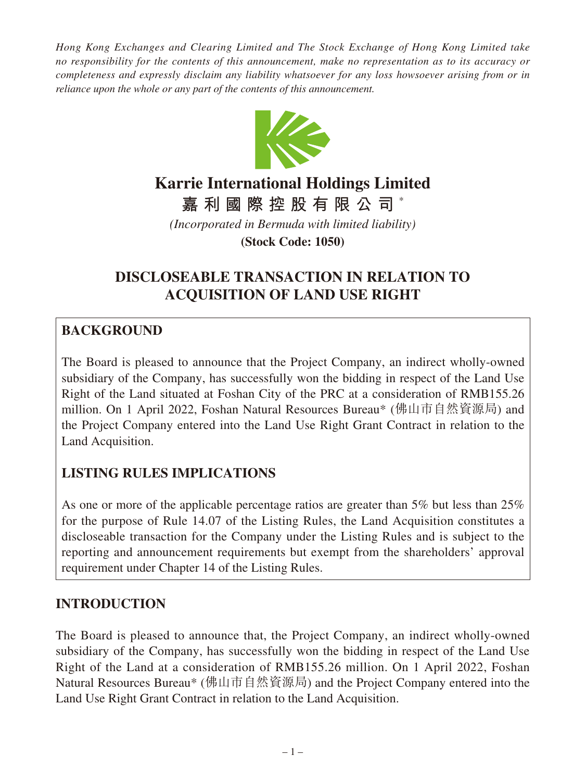*Hong Kong Exchanges and Clearing Limited and The Stock Exchange of Hong Kong Limited take no responsibility for the contents of this announcement, make no representation as to its accuracy or completeness and expressly disclaim any liability whatsoever for any loss howsoever arising from or in reliance upon the whole or any part of the contents of this announcement.*



# **Karrie International Holdings Limited**

**嘉利國際控股有限公司** \*

*(Incorporated in Bermuda with limited liability)*

**(Stock Code: 1050)**

## **DISCLOSEABLE TRANSACTION IN RELATION TO ACQUISITION OF LAND USE RIGHT**

#### **BACKGROUND**

The Board is pleased to announce that the Project Company, an indirect wholly-owned subsidiary of the Company, has successfully won the bidding in respect of the Land Use Right of the Land situated at Foshan City of the PRC at a consideration of RMB155.26 million. On 1 April 2022, Foshan Natural Resources Bureau\* (佛山市自然資源局) and the Project Company entered into the Land Use Right Grant Contract in relation to the Land Acquisition.

### **LISTING RULES IMPLICATIONS**

As one or more of the applicable percentage ratios are greater than 5% but less than 25% for the purpose of Rule 14.07 of the Listing Rules, the Land Acquisition constitutes a discloseable transaction for the Company under the Listing Rules and is subject to the reporting and announcement requirements but exempt from the shareholders' approval requirement under Chapter 14 of the Listing Rules.

#### **INTRODUCTION**

The Board is pleased to announce that, the Project Company, an indirect wholly-owned subsidiary of the Company, has successfully won the bidding in respect of the Land Use Right of the Land at a consideration of RMB155.26 million. On 1 April 2022, Foshan Natural Resources Bureau\* (佛山市自然資源局) and the Project Company entered into the Land Use Right Grant Contract in relation to the Land Acquisition.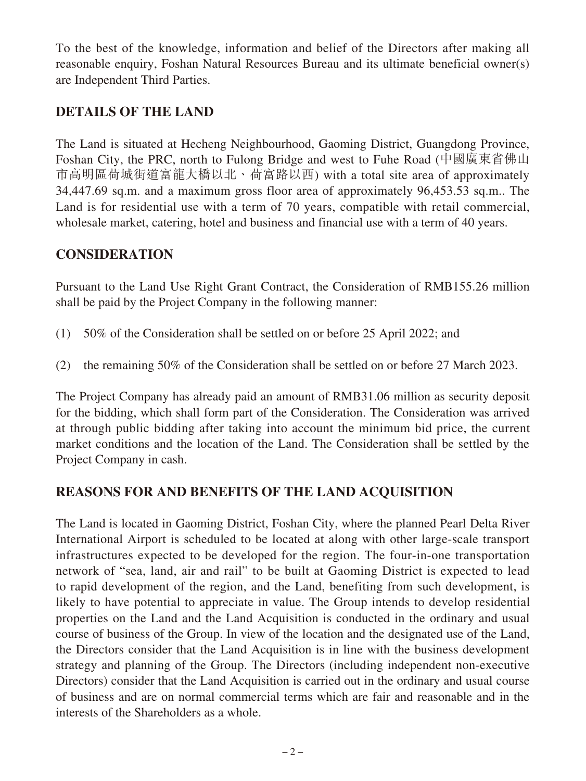To the best of the knowledge, information and belief of the Directors after making all reasonable enquiry, Foshan Natural Resources Bureau and its ultimate beneficial owner(s) are Independent Third Parties.

### **DETAILS OF THE LAND**

The Land is situated at Hecheng Neighbourhood, Gaoming District, Guangdong Province, Foshan City, the PRC, north to Fulong Bridge and west to Fuhe Road (中國廣東省佛山 市高明區荷城街道富龍大橋以北、荷富路以西) with a total site area of approximately 34,447.69 sq.m. and a maximum gross floor area of approximately 96,453.53 sq.m.. The Land is for residential use with a term of 70 years, compatible with retail commercial, wholesale market, catering, hotel and business and financial use with a term of 40 years.

#### **CONSIDERATION**

Pursuant to the Land Use Right Grant Contract, the Consideration of RMB155.26 million shall be paid by the Project Company in the following manner:

- (1) 50% of the Consideration shall be settled on or before 25 April 2022; and
- (2) the remaining 50% of the Consideration shall be settled on or before 27 March 2023.

The Project Company has already paid an amount of RMB31.06 million as security deposit for the bidding, which shall form part of the Consideration. The Consideration was arrived at through public bidding after taking into account the minimum bid price, the current market conditions and the location of the Land. The Consideration shall be settled by the Project Company in cash.

#### **REASONS FOR AND BENEFITS OF THE LAND ACQUISITION**

The Land is located in Gaoming District, Foshan City, where the planned Pearl Delta River International Airport is scheduled to be located at along with other large-scale transport infrastructures expected to be developed for the region. The four-in-one transportation network of "sea, land, air and rail" to be built at Gaoming District is expected to lead to rapid development of the region, and the Land, benefiting from such development, is likely to have potential to appreciate in value. The Group intends to develop residential properties on the Land and the Land Acquisition is conducted in the ordinary and usual course of business of the Group. In view of the location and the designated use of the Land, the Directors consider that the Land Acquisition is in line with the business development strategy and planning of the Group. The Directors (including independent non-executive Directors) consider that the Land Acquisition is carried out in the ordinary and usual course of business and are on normal commercial terms which are fair and reasonable and in the interests of the Shareholders as a whole.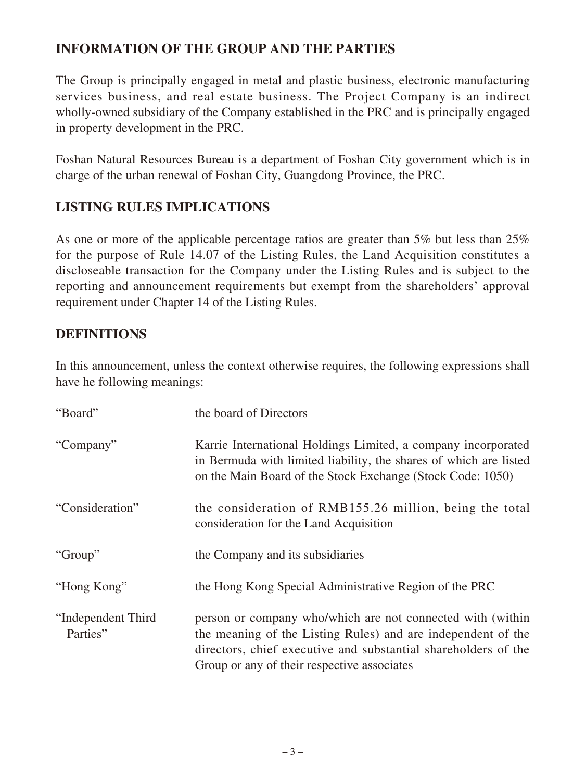#### **INFORMATION OF THE GROUP AND THE PARTIES**

The Group is principally engaged in metal and plastic business, electronic manufacturing services business, and real estate business. The Project Company is an indirect wholly-owned subsidiary of the Company established in the PRC and is principally engaged in property development in the PRC.

Foshan Natural Resources Bureau is a department of Foshan City government which is in charge of the urban renewal of Foshan City, Guangdong Province, the PRC.

#### **LISTING RULES IMPLICATIONS**

As one or more of the applicable percentage ratios are greater than 5% but less than 25% for the purpose of Rule 14.07 of the Listing Rules, the Land Acquisition constitutes a discloseable transaction for the Company under the Listing Rules and is subject to the reporting and announcement requirements but exempt from the shareholders' approval requirement under Chapter 14 of the Listing Rules.

#### **DEFINITIONS**

In this announcement, unless the context otherwise requires, the following expressions shall have he following meanings:

| "Board"                        | the board of Directors                                                                                                                                                                                                                      |
|--------------------------------|---------------------------------------------------------------------------------------------------------------------------------------------------------------------------------------------------------------------------------------------|
| "Company"                      | Karrie International Holdings Limited, a company incorporated<br>in Bermuda with limited liability, the shares of which are listed<br>on the Main Board of the Stock Exchange (Stock Code: 1050)                                            |
| "Consideration"                | the consideration of RMB155.26 million, being the total<br>consideration for the Land Acquisition                                                                                                                                           |
| "Group"                        | the Company and its subsidiaries                                                                                                                                                                                                            |
| "Hong Kong"                    | the Hong Kong Special Administrative Region of the PRC                                                                                                                                                                                      |
| "Independent Third<br>Parties" | person or company who/which are not connected with (within<br>the meaning of the Listing Rules) and are independent of the<br>directors, chief executive and substantial shareholders of the<br>Group or any of their respective associates |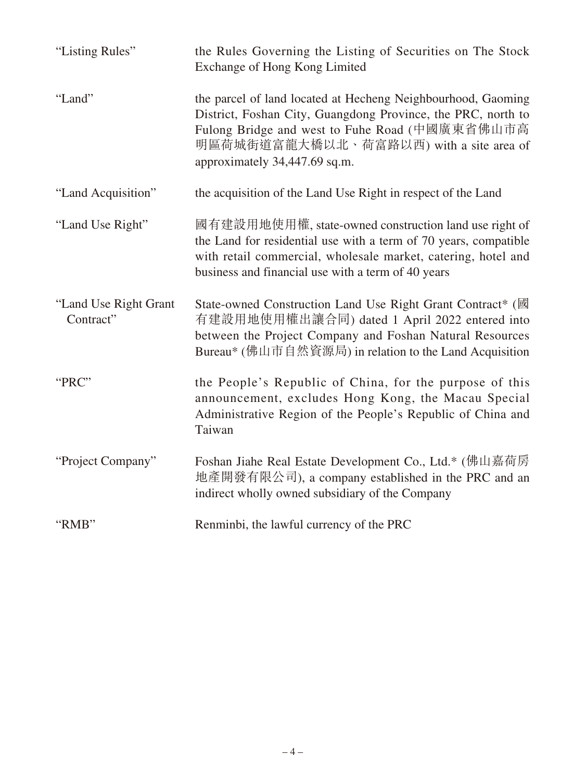| "Listing Rules"                    | the Rules Governing the Listing of Securities on The Stock<br>Exchange of Hong Kong Limited                                                                                                                                                                |
|------------------------------------|------------------------------------------------------------------------------------------------------------------------------------------------------------------------------------------------------------------------------------------------------------|
| "Land"                             | the parcel of land located at Hecheng Neighbourhood, Gaoming<br>District, Foshan City, Guangdong Province, the PRC, north to<br>Fulong Bridge and west to Fuhe Road (中國廣東省佛山市高<br>明區荷城街道富龍大橋以北、荷富路以西) with a site area of<br>approximately 34,447.69 sq.m. |
| "Land Acquisition"                 | the acquisition of the Land Use Right in respect of the Land                                                                                                                                                                                               |
| "Land Use Right"                   | 國有建設用地使用權, state-owned construction land use right of<br>the Land for residential use with a term of 70 years, compatible<br>with retail commercial, wholesale market, catering, hotel and<br>business and financial use with a term of 40 years           |
| "Land Use Right Grant<br>Contract" | State-owned Construction Land Use Right Grant Contract* (國<br>有建設用地使用權出讓合同) dated 1 April 2022 entered into<br>between the Project Company and Foshan Natural Resources<br>Bureau* (佛山市自然資源局) in relation to the Land Acquisition                          |
| "PRC"                              | the People's Republic of China, for the purpose of this<br>announcement, excludes Hong Kong, the Macau Special<br>Administrative Region of the People's Republic of China and<br>Taiwan                                                                    |
| "Project Company"                  | Foshan Jiahe Real Estate Development Co., Ltd.* (佛山嘉荷房<br>地產開發有限公司), a company established in the PRC and an<br>indirect wholly owned subsidiary of the Company                                                                                            |
| "RMB"                              | Renminbi, the lawful currency of the PRC                                                                                                                                                                                                                   |